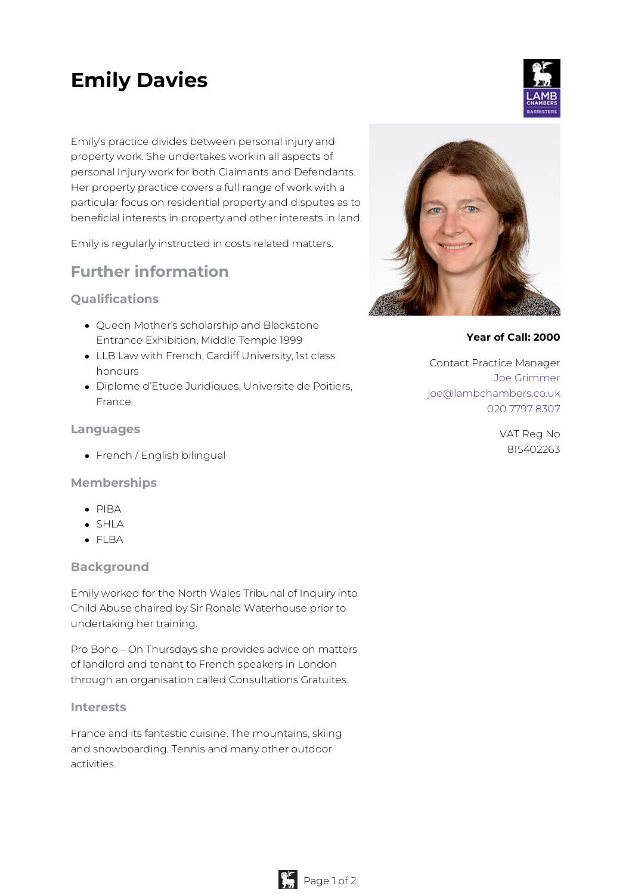# **Emily Davies**

Emily's practice divides between personal injury and property work. She undertakes work in all aspects of personal Injury work for both Claimants and Defendants. Her property practice covers a full range of work with a particular focus on residential property and disputes as to beneficial interests in property and other interests in land.

Emily is regularly instructed in costs related matters.

# **Further information**

#### **Qualifications**

- Queen Mother's scholarship and Blackstone Entrance Exhibition, Middle Temple 1999
- LLB Law with French, Cardiff University, 1st class honours
- Diplome d'Etude Juridiques, Universite de Poitiers, France

#### **Languages**

• French / English bilingual

#### **Memberships**

- $\bullet$  PIRA
- $\bullet$  SHIA
- FLBA

#### **Background**

Emily worked for the North Wales Tribunal of Inquiry into Child Abuse chaired by Sir Ronald Waterhouse prior to undertaking her training.

Pro Bono – On Thursdays she provides advice on matters of landlord and tenant to French speakers in London through an organisation called Consultations Gratuites.

#### **Interests**

France and its fantastic cuisine. The mountains, skiing and snowboarding. Tennis and many other outdoor activities.



#### **Year of Call: 2000**

Contact Practice Manager Joe [Grimmer](mailto:joe@lambchambers.co.uk) [joe@lambchambers.co.uk](mailto:joe@lambchambers.co.uk) 020 7797 [8307](tel:020%207797%208307)

> VAT Reg No 815402263